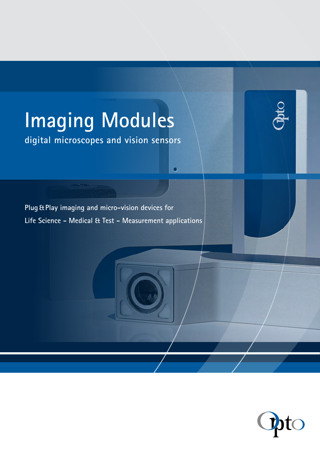# **Imaging Modules**

**digital microscopes and vision sensors**

**Plug&Play imaging and micro-vision devices for Life Science - Medical & Test - Measurement applications**

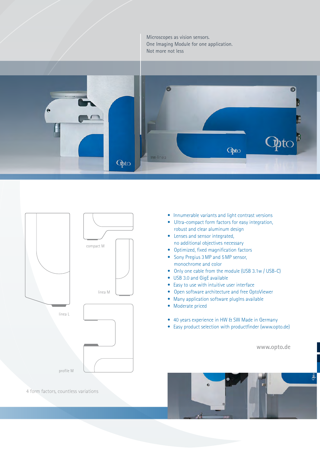Microscopes as vision sensors. One Imaging Module for one application. Not more not less





- Innumerable variants and light contrast versions
- Ultra-compact form factors for easy integration, robust and clear aluminum design
- Lenses and sensor integrated, no additional objectives necessary
- Optimized, fixed magnification factors
- Sony Pregius 3MP and 5MP sensor, monochrome and color
- Only one cable from the module (USB 3.1w / USB-C)
- USB 3.0 and GigE available
- Easy to use with intuitive user interface
- Open software architecture and free OptoViewer
- Many application software plugIns available
- Moderate priced
- 40 years experience in HW & SW Made in Germany
- Easy product selection with productfinder (www.opto.de)

**www.opto.de**



4 form factors, countless variations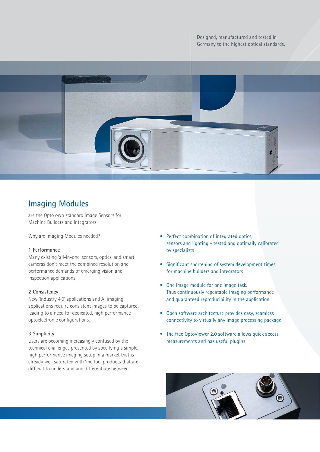Designed, manufactured and tested in Germany to the highest optical standards.



# **Imaging Modules**

are the Opto own standard Image Sensors for Machine Builders and Integrators

Why are Imaging Modules needed?

#### **1 Performance**

Many existing 'all-in-one' sensors, optics, and smart cameras don't meet the combined resolution and performance demands of emerging vision and inspection applications

#### **2 Consistency**

New 'Industry 4.0' applications and AI imaging applications require consistent images to be captured, leading to a need for dedicated, high performance optoelectronic configurations.

#### **3 Simplicity**

Users are becoming increasingly confused by the technical challenges presented by specifying a simple, high performance imaging setup in a market that is already well saturated with 'me too' products that are difficult to understand and differentiate between.

- Perfect combination of integrated optics, sensors and lighting - tested and optimally calibrated by specialists
- Significant shortening of system development times for machine builders and integrators
- One image module for one image task. Thus continuously repeatable imaging performance and guaranteed reproducibility in the application
- Open software architecture provides easy, seamless connectivity to virtually any image processing package
- The free OptoViewer 2.0 software allows quick access, measurements and has useful plugIns

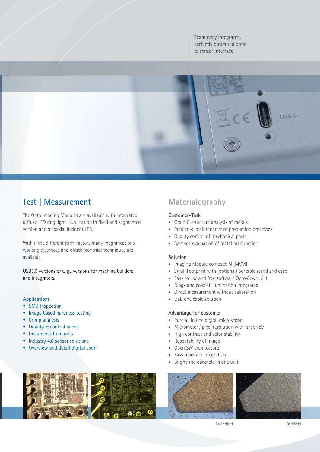Seamlessly integrated, perfectly optimised optic to sensor interface



# **Test | Measurement Materialography**

The Opto Imaging Modules are available with integrated, diffuse LED ring light illumination in fixed and segmented version and a coaxial incident LED.

Within the different form factors many magnifications, working distances and optical contrast techniques are available.

USB3.0 versions or GigE versions for machine builders and integrators.

### **Applications**

- SMD inspection
- Image based hardness testing
- Crimp analysis
- Quality & control needs
- Documentation units
- Industry 4.0 sensor solutions
- Overview and detail digital zoom

## **Customer-Task**

- Grain & structure analysis of metals
- Predictive maintenance of production processes
- Quality control of mechanical parts
- Damage evaluation of metal malfunction

#### **Solution**

- Imaging Module compact·M (MVM)
- Small Footprint with (optional) portable stand and case
- Easy to use and free software OptoViewer 2.0
- Ring- and coaxial illumination integrated
- Direct measurement without calibration
- USB one cable solution

#### **Advantage for customer**

- Pure all in one digital microscope
- Micrometer / pixel resolution with large FoV
- High contrast and color stability
- Repeatability of image
- Open SW architecture
- Easy machine integration
- Bright and darkfield in one unit





Brightfield Darkfield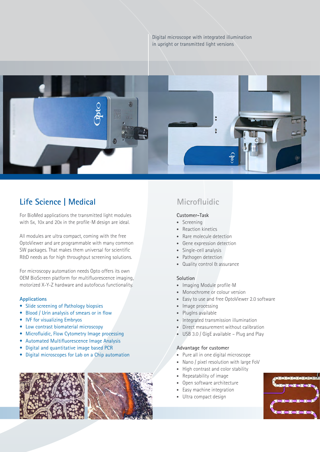



# **Life Science | Medical Microfluidic**

For BioMed applications the transmitted light modules with 5x, 10x and 20x in the profile·M design are ideal.

All modules are ultra compact, coming with the free OptoViewer and are programmable with many common SW packages. That makes them universal for scientific R&D needs as for high throughput screening solutions.

For microscopy automation needs Opto offers its own OEM BioScreen platform for multifluorescence imaging, motorized X-Y-Z hardware and autofocus functionality.

#### **Applications**

- Slide screening of Pathology biopsies
- Blood / Urin analysis of smears or in flow
- **IVF for visualizing Embryos**
- Low contrast biomaterial microscopy
- Microfluidic, Flow Cytometry Image processing
- Automated Multifluorescence Image Analysis
- Digital and quantitative image based PCR
- Digital microscopes for Lab on a Chip automation



#### **Customer-Task**

- Screening
- Reaction kinetics
- Rare molecule detection
- Gene expression detection
- Single-cell analysis
- Pathogen detection
- Quality control & assurance

#### **Solution**

- Imaging Module profile·M
- Monochrome or colour version
- Easy to use and free OptoViewer 2.0 software
- Image processing
- PlugIns available
- Integrated transmission illumination
- Direct measurement without calibration
- USB 3.0 / GigE available Plug and Play

#### **Advantage for customer**

- Pure all in one digital microscope
- Nano / pixel resolution with large FoV
- High contrast and color stability
- Repeatability of image
- Open software architecture
- Easy machine integration
- Ultra compact design